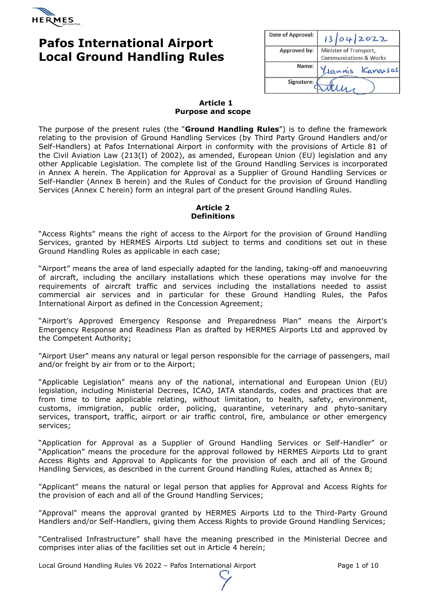

# **Pafos International Airport Local Ground Handling Rules**

| Date of Approval: | 13042022                          |  |
|-------------------|-----------------------------------|--|
| Approved by:      | Minister of Transport,            |  |
|                   | <b>Communications &amp; Works</b> |  |
| Name:             | Lannis Karousas                   |  |
| Signature:        |                                   |  |

### **Article 1 Purpose and scope**

The purpose of the present rules (the "**Ground Handling Rules**") is to define the framework relating to the provision of Ground Handling Services (by Third Party Ground Handlers and/or Self-Handlers) at Pafos International Airport in conformity with the provisions of Article 81 of the Civil Aviation Law (213(I) of 2002), as amended, European Union (EU) legislation and any other Applicable Legislation. The complete list of the Ground Handling Services is incorporated in Annex A herein. The Application for Approval as a Supplier of Ground Handling Services or Self-Handler (Annex B herein) and the Rules of Conduct for the provision of Ground Handling Services (Annex C herein) form an integral part of the present Ground Handling Rules.

### **Article 2 Definitions**

"Access Rights" means the right of access to the Airport for the provision of Ground Handling Services, granted by HERMES Airports Ltd subject to terms and conditions set out in these Ground Handling Rules as applicable in each case;

"Airport" means the area of land especially adapted for the landing, taking-off and manoeuvring of aircraft, including the ancillary installations which these operations may involve for the requirements of aircraft traffic and services including the installations needed to assist commercial air services and in particular for these Ground Handling Rules, the Pafos International Airport as defined in the Concession Agreement;

"Airport's Approved Emergency Response and Preparedness Plan" means the Airport's Emergency Response and Readiness Plan as drafted by HERMES Airports Ltd and approved by the Competent Authority;

"Airport User" means any natural or legal person responsible for the carriage of passengers, mail and/or freight by air from or to the Airport;

"Applicable Legislation" means any of the national, international and European Union (EU) legislation, including Ministerial Decrees, ICAO, IATA standards, codes and practices that are from time to time applicable relating, without limitation, to health, safety, environment, customs, immigration, public order, policing, quarantine, veterinary and phyto-sanitary services, transport, traffic, airport or air traffic control, fire, ambulance or other emergency services;

"Application for Approval as a Supplier of Ground Handling Services or Self-Handler" or "Application" means the procedure for the approval followed by HERMES Airports Ltd to grant Access Rights and Approval to Applicants for the provision of each and all of the Ground Handling Services, as described in the current Ground Handling Rules, attached as Annex B;

"Applicant" means the natural or legal person that applies for Approval and Access Rights for the provision of each and all of the Ground Handling Services;

"Approval" means the approval granted by HERMES Airports Ltd to the Third-Party Ground Handlers and/or Self-Handlers, giving them Access Rights to provide Ground Handling Services;

"Centralised Infrastructure" shall have the meaning prescribed in the Ministerial Decree and comprises inter alias of the facilities set out in Article 4 herein;

Local Ground Handling Rules V6 2022 - Pafos International Airport Page 1 of 10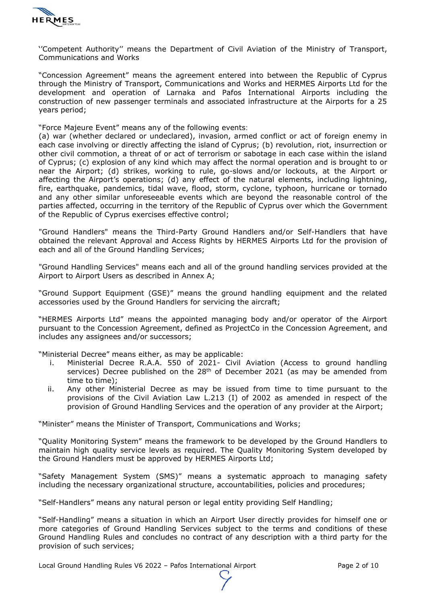

''Competent Authority'' means the Department of Civil Aviation of the Ministry of Transport, Communications and Works

"Concession Agreement" means the agreement entered into between the Republic of Cyprus through the Ministry of Transport, Communications and Works and HERMES Airports Ltd for the development and operation of Larnaka and Pafos International Airports including the construction of new passenger terminals and associated infrastructure at the Airports for a 25 years period;

"Force Majeure Event" means any of the following events:

(a) war (whether declared or undeclared), invasion, armed conflict or act of foreign enemy in each case involving or directly affecting the island of Cyprus; (b) revolution, riot, insurrection or other civil commotion, a threat of or act of terrorism or sabotage in each case within the island of Cyprus; (c) explosion of any kind which may affect the normal operation and is brought to or near the Airport; (d) strikes, working to rule, go-slows and/or lockouts, at the Airport or affecting the Airport's operations; (d) any effect of the natural elements, including lightning, fire, earthquake, pandemics, tidal wave, flood, storm, cyclone, typhoon, hurricane or tornado and any other similar unforeseeable events which are beyond the reasonable control of the parties affected, occurring in the territory of the Republic of Cyprus over which the Government of the Republic of Cyprus exercises effective control;

"Ground Handlers" means the Third-Party Ground Handlers and/or Self-Handlers that have obtained the relevant Approval and Access Rights by HERMES Airports Ltd for the provision of each and all of the Ground Handling Services;

"Ground Handling Services" means each and all of the ground handling services provided at the Airport to Airport Users as described in Annex A;

"Ground Support Equipment (GSE)" means the ground handling equipment and the related accessories used by the Ground Handlers for servicing the aircraft;

"HERMES Airports Ltd" means the appointed managing body and/or operator of the Airport pursuant to the Concession Agreement, defined as ProjectCo in the Concession Agreement, and includes any assignees and/or successors;

"Ministerial Decree" means either, as may be applicable:

- i. Ministerial Decree R.A.A. 550 of 2021- Civil Aviation (Access to ground handling services) Decree published on the 28<sup>th</sup> of December 2021 (as may be amended from time to time);
- ii. Any other Ministerial Decree as may be issued from time to time pursuant to the provisions of the Civil Aviation Law L.213 (I) of 2002 as amended in respect of the provision of Ground Handling Services and the operation of any provider at the Airport;

"Minister" means the Minister of Transport, Communications and Works;

"Quality Monitoring System" means the framework to be developed by the Ground Handlers to maintain high quality service levels as required. The Quality Monitoring System developed by the Ground Handlers must be approved by HERMES Airports Ltd;

"Safety Management System (SMS)" means a systematic approach to managing safety including the necessary organizational structure, accountabilities, policies and procedures;

"Self-Handlers" means any natural person or legal entity providing Self Handling;

"Self-Handling" means a situation in which an Airport User directly provides for himself one or more categories of Ground Handling Services subject to the terms and conditions of these Ground Handling Rules and concludes no contract of any description with a third party for the provision of such services;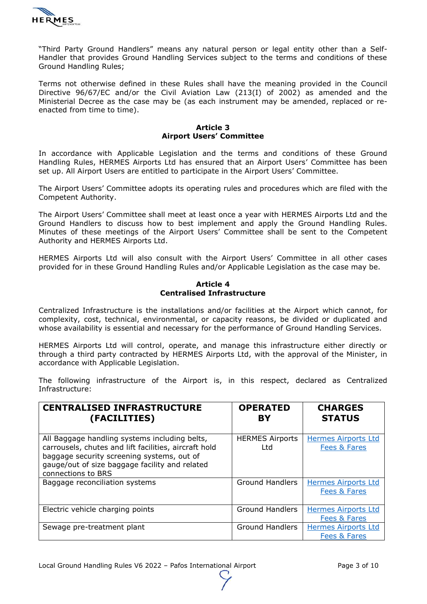

"Third Party Ground Handlers" means any natural person or legal entity other than a Self-Handler that provides Ground Handling Services subject to the terms and conditions of these Ground Handling Rules;

Terms not otherwise defined in these Rules shall have the meaning provided in the Council Directive 96/67/EC and/or the Civil Aviation Law (213(I) of 2002) as amended and the Ministerial Decree as the case may be (as each instrument may be amended, replaced or reenacted from time to time).

#### **Article 3 Airport Users' Committee**

In accordance with Applicable Legislation and the terms and conditions of these Ground Handling Rules, HERMES Airports Ltd has ensured that an Airport Users' Committee has been set up. All Airport Users are entitled to participate in the Airport Users' Committee.

The Airport Users' Committee adopts its operating rules and procedures which are filed with the Competent Authority.

The Airport Users' Committee shall meet at least once a year with HERMES Airports Ltd and the Ground Handlers to discuss how to best implement and apply the Ground Handling Rules. Minutes of these meetings of the Airport Users' Committee shall be sent to the Competent Authority and HERMES Airports Ltd.

HERMES Airports Ltd will also consult with the Airport Users' Committee in all other cases provided for in these Ground Handling Rules and/or Applicable Legislation as the case may be.

#### **Article 4 Centralised Infrastructure**

Centralized Infrastructure is the installations and/or facilities at the Airport which cannot, for complexity, cost, technical, environmental, or capacity reasons, be divided or duplicated and whose availability is essential and necessary for the performance of Ground Handling Services.

HERMES Airports Ltd will control, operate, and manage this infrastructure either directly or through a third party contracted by HERMES Airports Ltd, with the approval of the Minister, in accordance with Applicable Legislation.

The following infrastructure of the Airport is, in this respect, declared as Centralized Infrastructure:

| <b>CENTRALISED INFRASTRUCTURE</b><br>(FACILITIES)                                                                                                                                                                            | <b>OPERATED</b><br>BY           | <b>CHARGES</b><br><b>STATUS</b>            |
|------------------------------------------------------------------------------------------------------------------------------------------------------------------------------------------------------------------------------|---------------------------------|--------------------------------------------|
| All Baggage handling systems including belts,<br>carrousels, chutes and lift facilities, aircraft hold<br>baggage security screening systems, out of<br>gauge/out of size baggage facility and related<br>connections to BRS | <b>HERMES Airports</b><br>l td. | <b>Hermes Airports Ltd</b><br>Fees & Fares |
| Baggage reconciliation systems                                                                                                                                                                                               | <b>Ground Handlers</b>          | <b>Hermes Airports Ltd</b><br>Fees & Fares |
| Electric vehicle charging points                                                                                                                                                                                             | <b>Ground Handlers</b>          | <b>Hermes Airports Ltd</b><br>Fees & Fares |
| Sewage pre-treatment plant                                                                                                                                                                                                   | <b>Ground Handlers</b>          | <b>Hermes Airports Ltd</b><br>Fees & Fares |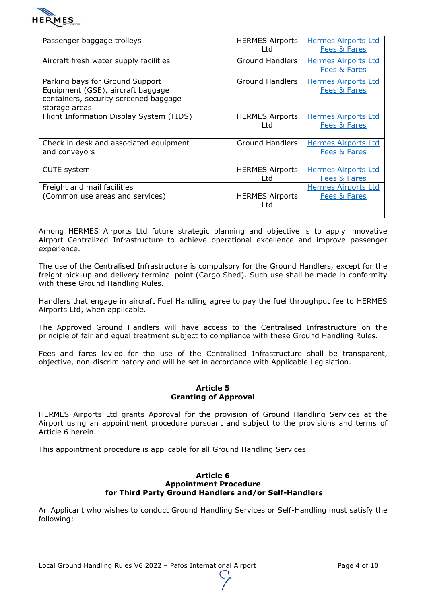

| Passenger baggage trolleys                                                                                                     | <b>HERMES Airports</b><br>Ltd | <b>Hermes Airports Ltd</b><br>Fees & Fares            |
|--------------------------------------------------------------------------------------------------------------------------------|-------------------------------|-------------------------------------------------------|
| Aircraft fresh water supply facilities                                                                                         | <b>Ground Handlers</b>        | <b>Hermes Airports Ltd</b><br>Fees & Fares            |
| Parking bays for Ground Support<br>Equipment (GSE), aircraft baggage<br>containers, security screened baggage<br>storage areas | <b>Ground Handlers</b>        | <b>Hermes Airports Ltd</b><br>Fees & Fares            |
| Flight Information Display System (FIDS)                                                                                       | <b>HERMES Airports</b><br>Ltd | <b>Hermes Airports Ltd</b><br>Fees & Fares            |
| Check in desk and associated equipment<br>and conveyors                                                                        | <b>Ground Handlers</b>        | <b>Hermes Airports Ltd</b><br>Fees & Fares            |
| <b>CUTE</b> system                                                                                                             | <b>HERMES Airports</b><br>Ltd | <b>Hermes Airports Ltd</b><br>Fees & Fares            |
| Freight and mail facilities<br>(Common use areas and services)                                                                 | <b>HERMES Airports</b><br>Ltd | <b>Hermes Airports Ltd</b><br><b>Fees &amp; Fares</b> |

Among HERMES Airports Ltd future strategic planning and objective is to apply innovative Airport Centralized Infrastructure to achieve operational excellence and improve passenger experience.

The use of the Centralised Infrastructure is compulsory for the Ground Handlers, except for the freight pick-up and delivery terminal point (Cargo Shed). Such use shall be made in conformity with these Ground Handling Rules.

Handlers that engage in aircraft Fuel Handling agree to pay the fuel throughput fee to HERMES Airports Ltd, when applicable.

The Approved Ground Handlers will have access to the Centralised Infrastructure on the principle of fair and equal treatment subject to compliance with these Ground Handling Rules.

Fees and fares levied for the use of the Centralised Infrastructure shall be transparent, objective, non-discriminatory and will be set in accordance with Applicable Legislation.

#### **Article 5 Granting of Approval**

HERMES Airports Ltd grants Approval for the provision of Ground Handling Services at the Airport using an appointment procedure pursuant and subject to the provisions and terms of Article 6 herein.

This appointment procedure is applicable for all Ground Handling Services.

#### **Article 6 Appointment Procedure for Third Party Ground Handlers and/or Self-Handlers**

An Applicant who wishes to conduct Ground Handling Services or Self-Handling must satisfy the following:

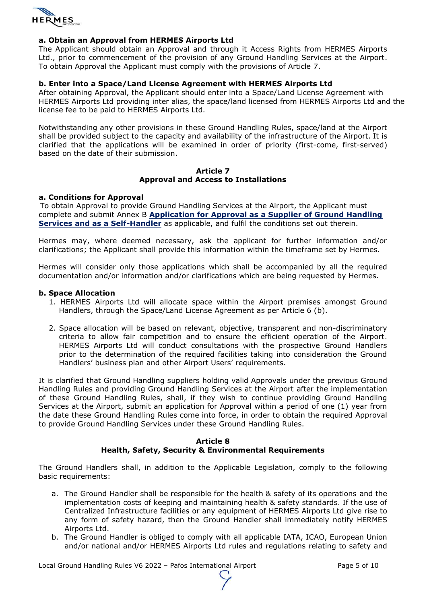

#### **a. Obtain an Approval from HERMES Airports Ltd**

The Applicant should obtain an Approval and through it Access Rights from HERMES Airports Ltd., prior to commencement of the provision of any Ground Handling Services at the Airport. To obtain Approval the Applicant must comply with the provisions of Article 7.

#### **b. Enter into a Space/Land License Agreement with HERMES Airports Ltd**

After obtaining Approval, the Applicant should enter into a Space/Land License Agreement with HERMES Airports Ltd providing inter alias, the space/land licensed from HERMES Airports Ltd and the license fee to be paid to HERMES Airports Ltd.

Notwithstanding any other provisions in these Ground Handling Rules, space/land at the Airport shall be provided subject to the capacity and availability of the infrastructure of the Airport. It is clarified that the applications will be examined in order of priority (first-come, first-served) based on the date of their submission.

#### **Article 7 Approval and Access to Installations**

#### **a. Conditions for Approval**

To obtain Approval to provide Ground Handling Services at the Airport, the Applicant must complete and submit Annex B **[Application for Approval as a Supplier of Ground Handling](https://hermesoffice365-my.sharepoint.com/:f:/g/personal/yiannis_harpas_hermesairports_com/EmkLy7PSNkRJmei0mN8DCjIBlwnhCmWcUZTNuauA6RfHEw?e=3NvDnv)  [Services and as a Self-Handler](https://hermesoffice365-my.sharepoint.com/:f:/g/personal/yiannis_harpas_hermesairports_com/EmkLy7PSNkRJmei0mN8DCjIBlwnhCmWcUZTNuauA6RfHEw?e=3NvDnv)** as applicable, and fulfil the conditions set out therein.

Hermes may, where deemed necessary, ask the applicant for further information and/or clarifications; the Applicant shall provide this information within the timeframe set by Hermes.

Hermes will consider only those applications which shall be accompanied by all the required documentation and/or information and/or clarifications which are being requested by Hermes.

#### **b. Space Allocation**

- 1. HERMES Airports Ltd will allocate space within the Airport premises amongst Ground Handlers, through the Space/Land License Agreement as per Article 6 (b).
- 2. Space allocation will be based on relevant, objective, transparent and non-discriminatory criteria to allow fair competition and to ensure the efficient operation of the Airport. HERMES Airports Ltd will conduct consultations with the prospective Ground Handlers prior to the determination of the required facilities taking into consideration the Ground Handlers' business plan and other Airport Users' requirements.

It is clarified that Ground Handling suppliers holding valid Approvals under the previous Ground Handling Rules and providing Ground Handling Services at the Airport after the implementation of these Ground Handling Rules, shall, if they wish to continue providing Ground Handling Services at the Airport, submit an application for Approval within a period of one (1) year from the date these Ground Handling Rules come into force, in order to obtain the required Approval to provide Ground Handling Services under these Ground Handling Rules.

#### **Article 8 Health, Safety, Security & Environmental Requirements**

The Ground Handlers shall, in addition to the Applicable Legislation, comply to the following basic requirements:

- a. The Ground Handler shall be responsible for the health & safety of its operations and the implementation costs of keeping and maintaining health & safety standards. If the use of Centralized Infrastructure facilities or any equipment of HERMES Airports Ltd give rise to any form of safety hazard, then the Ground Handler shall immediately notify HERMES Airports Ltd.
- b. The Ground Handler is obliged to comply with all applicable IATA, ICAO, European Union and/or national and/or HERMES Airports Ltd rules and regulations relating to safety and

Local Ground Handling Rules V6 2022 - Pafos International Airport Page 5 of 10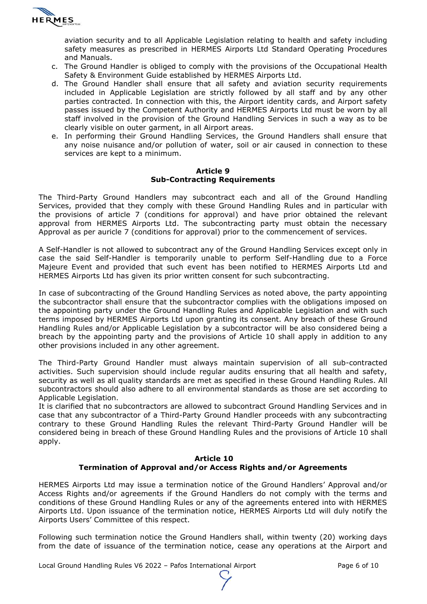

aviation security and to all Applicable Legislation relating to health and safety including safety measures as prescribed in HERMES Airports Ltd Standard Operating Procedures and Manuals.

- c. The Ground Handler is obliged to comply with the provisions of the Occupational Health Safety & Environment Guide established by HERMES Airports Ltd.
- d. The Ground Handler shall ensure that all safety and aviation security requirements included in Applicable Legislation are strictly followed by all staff and by any other parties contracted. In connection with this, the Airport identity cards, and Airport safety passes issued by the Competent Authority and HERMES Airports Ltd must be worn by all staff involved in the provision of the Ground Handling Services in such a way as to be clearly visible on outer garment, in all Airport areas.
- e. In performing their Ground Handling Services, the Ground Handlers shall ensure that any noise nuisance and/or pollution of water, soil or air caused in connection to these services are kept to a minimum.

#### **Article 9 Sub-Contracting Requirements**

The Third-Party Ground Handlers may subcontract each and all of the Ground Handling Services, provided that they comply with these Ground Handling Rules and in particular with the provisions of article 7 (conditions for approval) and have prior obtained the relevant approval from HERMES Airports Ltd. The subcontracting party must obtain the necessary Approval as per auricle 7 (conditions for approval) prior to the commencement of services.

A Self-Handler is not allowed to subcontract any of the Ground Handling Services except only in case the said Self-Handler is temporarily unable to perform Self-Handling due to a Force Majeure Event and provided that such event has been notified to HERMES Airports Ltd and HERMES Airports Ltd has given its prior written consent for such subcontracting.

In case of subcontracting of the Ground Handling Services as noted above, the party appointing the subcontractor shall ensure that the subcontractor complies with the obligations imposed on the appointing party under the Ground Handling Rules and Applicable Legislation and with such terms imposed by HERMES Airports Ltd upon granting its consent. Any breach of these Ground Handling Rules and/or Applicable Legislation by a subcontractor will be also considered being a breach by the appointing party and the provisions of Article 10 shall apply in addition to any other provisions included in any other agreement.

The Third-Party Ground Handler must always maintain supervision of all sub-contracted activities. Such supervision should include regular audits ensuring that all health and safety, security as well as all quality standards are met as specified in these Ground Handling Rules. All subcontractors should also adhere to all environmental standards as those are set according to Applicable Legislation.

It is clarified that no subcontractors are allowed to subcontract Ground Handling Services and in case that any subcontractor of a Third-Party Ground Handler proceeds with any subcontracting contrary to these Ground Handling Rules the relevant Third-Party Ground Handler will be considered being in breach of these Ground Handling Rules and the provisions of Article 10 shall apply.

### **Article 10 Termination of Approval and/or Access Rights and/or Agreements**

HERMES Airports Ltd may issue a termination notice of the Ground Handlers' Approval and/or Access Rights and/or agreements if the Ground Handlers do not comply with the terms and conditions of these Ground Handling Rules or any of the agreements entered into with HERMES Airports Ltd. Upon issuance of the termination notice, HERMES Airports Ltd will duly notify the Airports Users' Committee of this respect.

Following such termination notice the Ground Handlers shall, within twenty (20) working days from the date of issuance of the termination notice, cease any operations at the Airport and

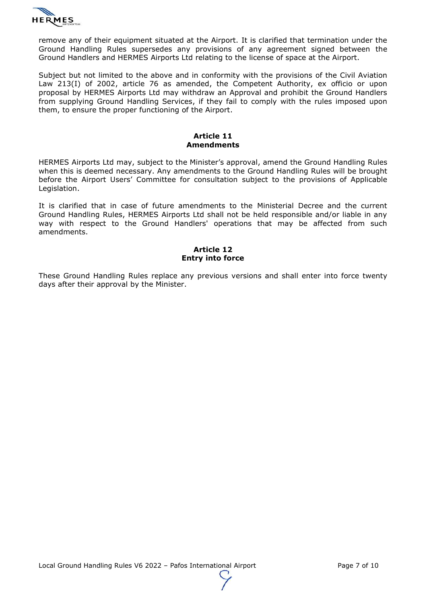

remove any of their equipment situated at the Airport. It is clarified that termination under the Ground Handling Rules supersedes any provisions of any agreement signed between the Ground Handlers and HERMES Airports Ltd relating to the license of space at the Airport.

Subject but not limited to the above and in conformity with the provisions of the Civil Aviation Law 213(I) of 2002, article 76 as amended, the Competent Authority, ex officio or upon proposal by HERMES Airports Ltd may withdraw an Approval and prohibit the Ground Handlers from supplying Ground Handling Services, if they fail to comply with the rules imposed upon them, to ensure the proper functioning of the Airport.

#### **Article 11 Amendments**

HERMES Airports Ltd may, subject to the Minister's approval, amend the Ground Handling Rules when this is deemed necessary. Any amendments to the Ground Handling Rules will be brought before the Airport Users' Committee for consultation subject to the provisions of Applicable Legislation.

It is clarified that in case of future amendments to the Ministerial Decree and the current Ground Handling Rules, HERMES Airports Ltd shall not be held responsible and/or liable in any way with respect to the Ground Handlers' operations that may be affected from such amendments.

### **Article 12 Entry into force**

These Ground Handling Rules replace any previous versions and shall enter into force twenty days after their approval by the Minister.

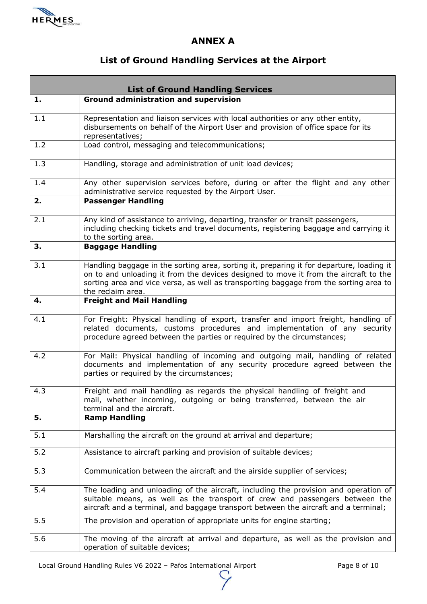

## **ANNEX A**

# **List of Ground Handling Services at the Airport**

| <b>List of Ground Handling Services</b> |                                                                                                                                                                                                                                                                                                |  |
|-----------------------------------------|------------------------------------------------------------------------------------------------------------------------------------------------------------------------------------------------------------------------------------------------------------------------------------------------|--|
| 1.                                      | <b>Ground administration and supervision</b>                                                                                                                                                                                                                                                   |  |
| 1.1                                     | Representation and liaison services with local authorities or any other entity,<br>disbursements on behalf of the Airport User and provision of office space for its<br>representatives;                                                                                                       |  |
| 1.2                                     | Load control, messaging and telecommunications;                                                                                                                                                                                                                                                |  |
| 1.3                                     | Handling, storage and administration of unit load devices;                                                                                                                                                                                                                                     |  |
| 1.4                                     | Any other supervision services before, during or after the flight and any other<br>administrative service requested by the Airport User.                                                                                                                                                       |  |
| 2.                                      | <b>Passenger Handling</b>                                                                                                                                                                                                                                                                      |  |
| 2.1                                     | Any kind of assistance to arriving, departing, transfer or transit passengers,<br>including checking tickets and travel documents, registering baggage and carrying it<br>to the sorting area.                                                                                                 |  |
| 3.                                      | <b>Baggage Handling</b>                                                                                                                                                                                                                                                                        |  |
| 3.1                                     | Handling baggage in the sorting area, sorting it, preparing it for departure, loading it<br>on to and unloading it from the devices designed to move it from the aircraft to the<br>sorting area and vice versa, as well as transporting baggage from the sorting area to<br>the reclaim area. |  |
| 4.                                      | <b>Freight and Mail Handling</b>                                                                                                                                                                                                                                                               |  |
| 4.1                                     | For Freight: Physical handling of export, transfer and import freight, handling of<br>related documents, customs procedures and implementation of any security<br>procedure agreed between the parties or required by the circumstances;                                                       |  |
| 4.2                                     | For Mail: Physical handling of incoming and outgoing mail, handling of related<br>documents and implementation of any security procedure agreed between the<br>parties or required by the circumstances;                                                                                       |  |
| 4.3                                     | Freight and mail handling as regards the physical handling of freight and<br>mail, whether incoming, outgoing or being transferred, between the air<br>terminal and the aircraft.                                                                                                              |  |
| 5.                                      | <b>Ramp Handling</b>                                                                                                                                                                                                                                                                           |  |
| 5.1                                     | Marshalling the aircraft on the ground at arrival and departure;                                                                                                                                                                                                                               |  |
| 5.2                                     | Assistance to aircraft parking and provision of suitable devices;                                                                                                                                                                                                                              |  |
| 5.3                                     | Communication between the aircraft and the airside supplier of services;                                                                                                                                                                                                                       |  |
| 5.4                                     | The loading and unloading of the aircraft, including the provision and operation of<br>suitable means, as well as the transport of crew and passengers between the<br>aircraft and a terminal, and baggage transport between the aircraft and a terminal;                                      |  |
| 5.5                                     | The provision and operation of appropriate units for engine starting;                                                                                                                                                                                                                          |  |
| 5.6                                     | The moving of the aircraft at arrival and departure, as well as the provision and<br>operation of suitable devices;                                                                                                                                                                            |  |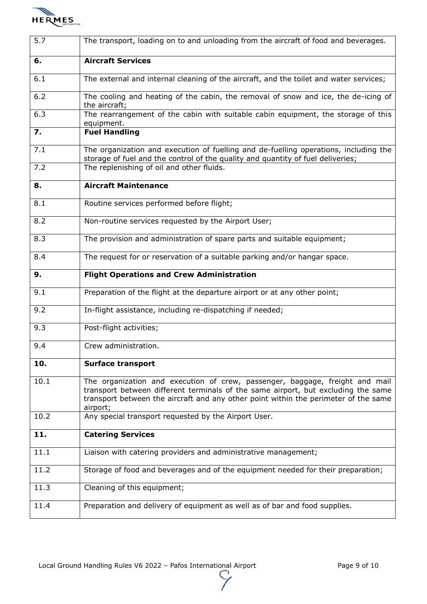

| 5.7  | The transport, loading on to and unloading from the aircraft of food and beverages.                                                                                                                                                                                  |
|------|----------------------------------------------------------------------------------------------------------------------------------------------------------------------------------------------------------------------------------------------------------------------|
| 6.   | <b>Aircraft Services</b>                                                                                                                                                                                                                                             |
| 6.1  | The external and internal cleaning of the aircraft, and the toilet and water services;                                                                                                                                                                               |
| 6.2  | The cooling and heating of the cabin, the removal of snow and ice, the de-icing of<br>the aircraft;                                                                                                                                                                  |
| 6.3  | The rearrangement of the cabin with suitable cabin equipment, the storage of this<br>equipment.                                                                                                                                                                      |
| 7.   | <b>Fuel Handling</b>                                                                                                                                                                                                                                                 |
| 7.1  | The organization and execution of fuelling and de-fuelling operations, including the<br>storage of fuel and the control of the quality and quantity of fuel deliveries;                                                                                              |
| 7.2  | The replenishing of oil and other fluids.                                                                                                                                                                                                                            |
| 8.   | <b>Aircraft Maintenance</b>                                                                                                                                                                                                                                          |
| 8.1  | Routine services performed before flight;                                                                                                                                                                                                                            |
| 8.2  | Non-routine services requested by the Airport User;                                                                                                                                                                                                                  |
| 8.3  | The provision and administration of spare parts and suitable equipment;                                                                                                                                                                                              |
| 8.4  | The request for or reservation of a suitable parking and/or hangar space.                                                                                                                                                                                            |
| 9.   | <b>Flight Operations and Crew Administration</b>                                                                                                                                                                                                                     |
| 9.1  | Preparation of the flight at the departure airport or at any other point;                                                                                                                                                                                            |
| 9.2  | In-flight assistance, including re-dispatching if needed;                                                                                                                                                                                                            |
| 9.3  | Post-flight activities;                                                                                                                                                                                                                                              |
| 9.4  | Crew administration.                                                                                                                                                                                                                                                 |
| 10.  | <b>Surface transport</b>                                                                                                                                                                                                                                             |
| 10.1 | The organization and execution of crew, passenger, baggage, freight and mail<br>transport between different terminals of the same airport, but excluding the same<br>transport between the aircraft and any other point within the perimeter of the same<br>airport; |
| 10.2 | Any special transport requested by the Airport User.                                                                                                                                                                                                                 |
| 11.  | <b>Catering Services</b>                                                                                                                                                                                                                                             |
| 11.1 | Liaison with catering providers and administrative management;                                                                                                                                                                                                       |
| 11.2 | Storage of food and beverages and of the equipment needed for their preparation;                                                                                                                                                                                     |
| 11.3 | Cleaning of this equipment;                                                                                                                                                                                                                                          |
| 11.4 | Preparation and delivery of equipment as well as of bar and food supplies.                                                                                                                                                                                           |